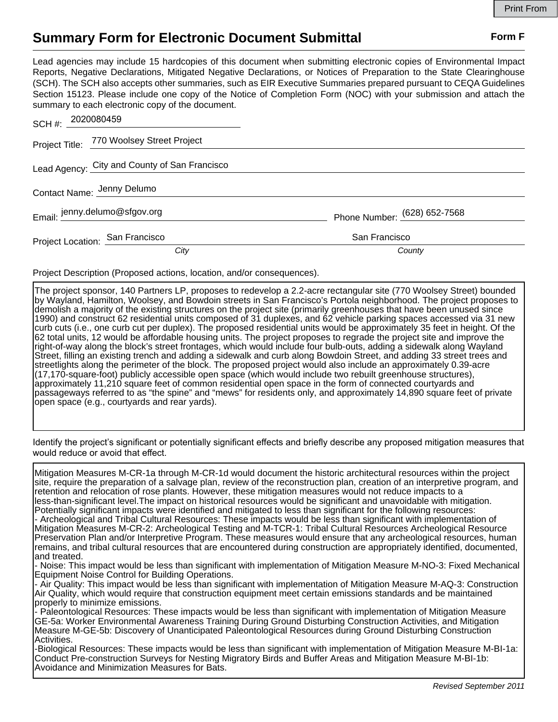## **Summary Form for Electronic Document Submittal Form F Form F**

Lead agencies may include 15 hardcopies of this document when submitting electronic copies of Environmental Impact Reports, Negative Declarations, Mitigated Negative Declarations, or Notices of Preparation to the State Clearinghouse (SCH). The SCH also accepts other summaries, such as EIR Executive Summaries prepared pursuant to CEQA Guidelines Section 15123. Please include one copy of the Notice of Completion Form (NOC) with your submission and attach the summary to each electronic copy of the document.

| SCH #: $2020080459$             |                                               |                              |
|---------------------------------|-----------------------------------------------|------------------------------|
|                                 | Project Title: 770 Woolsey Street Project     |                              |
|                                 | Lead Agency: City and County of San Francisco |                              |
| Contact Name: Jenny Delumo      |                                               |                              |
| Email: jenny.delumo@sfgov.org   |                                               | Phone Number: (628) 652-7568 |
| Project Location: San Francisco |                                               | San Francisco                |
|                                 | City                                          | County                       |

Project Description (Proposed actions, location, and/or consequences).

The project sponsor, 140 Partners LP, proposes to redevelop a 2.2-acre rectangular site (770 Woolsey Street) bounded by Wayland, Hamilton, Woolsey, and Bowdoin streets in San Francisco's Portola neighborhood. The project proposes to demolish a majority of the existing structures on the project site (primarily greenhouses that have been unused since 1990) and construct 62 residential units composed of 31 duplexes, and 62 vehicle parking spaces accessed via 31 new curb cuts (i.e., one curb cut per duplex). The proposed residential units would be approximately 35 feet in height. Of the 62 total units, 12 would be affordable housing units. The project proposes to regrade the project site and improve the right-of-way along the block's street frontages, which would include four bulb-outs, adding a sidewalk along Wayland Street, filling an existing trench and adding a sidewalk and curb along Bowdoin Street, and adding 33 street trees and streetlights along the perimeter of the block. The proposed project would also include an approximately 0.39-acre (17,170-square-foot) publicly accessible open space (which would include two rebuilt greenhouse structures), approximately 11,210 square feet of common residential open space in the form of connected courtyards and passageways referred to as "the spine" and "mews" for residents only, and approximately 14,890 square feet of private open space (e.g., courtyards and rear yards).

Identify the project's significant or potentially significant effects and briefly describe any proposed mitigation measures that would reduce or avoid that effect.

Mitigation Measures M-CR-1a through M-CR-1d would document the historic architectural resources within the project site, require the preparation of a salvage plan, review of the reconstruction plan, creation of an interpretive program, and retention and relocation of rose plants. However, these mitigation measures would not reduce impacts to a less-than-significant level.The impact on historical resources would be significant and unavoidable with mitigation. Potentially significant impacts were identified and mitigated to less than significant for the following resources: - Archeological and Tribal Cultural Resources: These impacts would be less than significant with implementation of Mitigation Measures M-CR-2: Archeological Testing and M-TCR-1: Tribal Cultural Resources Archeological Resource Preservation Plan and/or Interpretive Program. These measures would ensure that any archeological resources, human remains, and tribal cultural resources that are encountered during construction are appropriately identified, documented, and treated.

- Noise: This impact would be less than significant with implementation of Mitigation Measure M-NO-3: Fixed Mechanical Equipment Noise Control for Building Operations.

- Air Quality: This impact would be less than significant with implementation of Mitigation Measure M-AQ-3: Construction Air Quality, which would require that construction equipment meet certain emissions standards and be maintained properly to minimize emissions.

- Paleontological Resources: These impacts would be less than significant with implementation of Mitigation Measure GE-5a: Worker Environmental Awareness Training During Ground Disturbing Construction Activities, and Mitigation Measure M-GE-5b: Discovery of Unanticipated Paleontological Resources during Ground Disturbing Construction Activities.

-Biological Resources: These impacts would be less than significant with implementation of Mitigation Measure M-BI-1a: Conduct Pre-construction Surveys for Nesting Migratory Birds and Buffer Areas and Mitigation Measure M-BI-1b: Avoidance and Minimization Measures for Bats.